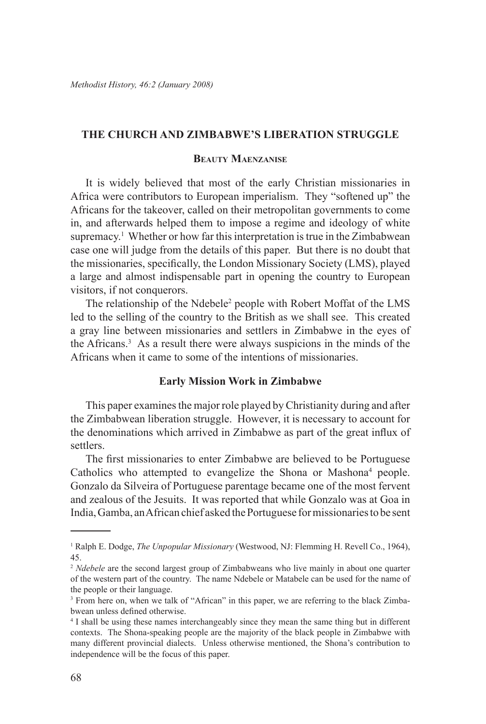## **THE CHURCH AND ZIMBABWE'S LIBERATION STRUGGLE**

## **Beauty Maenzanise**

It is widely believed that most of the early Christian missionaries in Africa were contributors to European imperialism. They "softened up" the Africans for the takeover, called on their metropolitan governments to come in, and afterwards helped them to impose a regime and ideology of white supremacy.<sup>1</sup> Whether or how far this interpretation is true in the Zimbabwean case one will judge from the details of this paper. But there is no doubt that the missionaries, specifically, the London Missionary Society (LMS), played a large and almost indispensable part in opening the country to European visitors, if not conquerors.

The relationship of the Ndebele<sup>2</sup> people with Robert Moffat of the LMS led to the selling of the country to the British as we shall see. This created a gray line between missionaries and settlers in Zimbabwe in the eyes of the Africans.3 As a result there were always suspicions in the minds of the Africans when it came to some of the intentions of missionaries.

## **Early Mission Work in Zimbabwe**

This paper examines the major role played by Christianity during and after the Zimbabwean liberation struggle. However, it is necessary to account for the denominations which arrived in Zimbabwe as part of the great influx of settlers.

The first missionaries to enter Zimbabwe are believed to be Portuguese Catholics who attempted to evangelize the Shona or Mashona<sup>4</sup> people. Gonzalo da Silveira of Portuguese parentage became one of the most fervent and zealous of the Jesuits. It was reported that while Gonzalo was at Goa in India, Gamba, an African chief asked the Portuguese for missionaries to be sent

<sup>1</sup> Ralph E. Dodge, *The Unpopular Missionary* (Westwood, NJ: Flemming H. Revell Co., 1964), 45.

<sup>&</sup>lt;sup>2</sup> *Ndebele* are the second largest group of Zimbabweans who live mainly in about one quarter of the western part of the country. The name Ndebele or Matabele can be used for the name of the people or their language.

<sup>&</sup>lt;sup>3</sup> From here on, when we talk of "African" in this paper, we are referring to the black Zimbabwean unless defined otherwise.

<sup>4</sup> I shall be using these names interchangeably since they mean the same thing but in different contexts. The Shona-speaking people are the majority of the black people in Zimbabwe with many different provincial dialects. Unless otherwise mentioned, the Shona's contribution to independence will be the focus of this paper.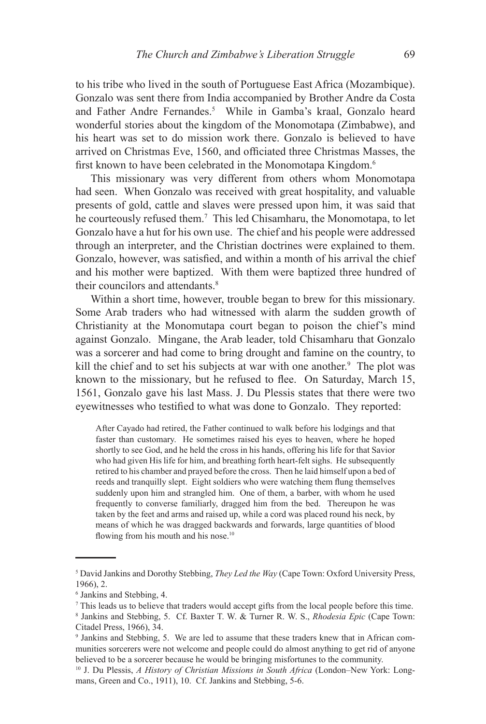to his tribe who lived in the south of Portuguese East Africa (Mozambique). Gonzalo was sent there from India accompanied by Brother Andre da Costa and Father Andre Fernandes.<sup>5</sup> While in Gamba's kraal, Gonzalo heard wonderful stories about the kingdom of the Monomotapa (Zimbabwe), and his heart was set to do mission work there. Gonzalo is believed to have arrived on Christmas Eve, 1560, and officiated three Christmas Masses, the first known to have been celebrated in the Monomotapa Kingdom.<sup>6</sup>

This missionary was very different from others whom Monomotapa had seen. When Gonzalo was received with great hospitality, and valuable presents of gold, cattle and slaves were pressed upon him, it was said that he courteously refused them.7 This led Chisamharu, the Monomotapa, to let Gonzalo have a hut for his own use. The chief and his people were addressed through an interpreter, and the Christian doctrines were explained to them. Gonzalo, however, was satisfied, and within a month of his arrival the chief and his mother were baptized. With them were baptized three hundred of their councilors and attendants.<sup>8</sup>

Within a short time, however, trouble began to brew for this missionary. Some Arab traders who had witnessed with alarm the sudden growth of Christianity at the Monomutapa court began to poison the chief's mind against Gonzalo. Mingane, the Arab leader, told Chisamharu that Gonzalo was a sorcerer and had come to bring drought and famine on the country, to kill the chief and to set his subjects at war with one another.<sup>9</sup> The plot was known to the missionary, but he refused to flee. On Saturday, March 15, 1561, Gonzalo gave his last Mass. J. Du Plessis states that there were two eyewitnesses who testified to what was done to Gonzalo. They reported:

After Cayado had retired, the Father continued to walk before his lodgings and that faster than customary. He sometimes raised his eyes to heaven, where he hoped shortly to see God, and he held the cross in his hands, offering his life for that Savior who had given His life for him, and breathing forth heart-felt sighs. He subsequently retired to his chamber and prayed before the cross. Then he laid himself upon a bed of reeds and tranquilly slept. Eight soldiers who were watching them flung themselves suddenly upon him and strangled him. One of them, a barber, with whom he used frequently to converse familiarly, dragged him from the bed. Thereupon he was taken by the feet and arms and raised up, while a cord was placed round his neck, by means of which he was dragged backwards and forwards, large quantities of blood flowing from his mouth and his nose.<sup>10</sup>

<sup>5</sup> David Jankins and Dorothy Stebbing, *They Led the Way* (Cape Town: Oxford University Press, 1966), 2.

<sup>6</sup> Jankins and Stebbing, 4.

<sup>7</sup> This leads us to believe that traders would accept gifts from the local people before this time.

<sup>8</sup> Jankins and Stebbing, 5. Cf. Baxter T. W. & Turner R. W. S., *Rhodesia Epic* (Cape Town: Citadel Press, 1966), 34.

<sup>9</sup> Jankins and Stebbing, 5. We are led to assume that these traders knew that in African communities sorcerers were not welcome and people could do almost anything to get rid of anyone believed to be a sorcerer because he would be bringing misfortunes to the community.

<sup>&</sup>lt;sup>10</sup> J. Du Plessis, *A History of Christian Missions in South Africa* (London–New York: Longmans, Green and Co., 1911), 10. Cf. Jankins and Stebbing, 5-6.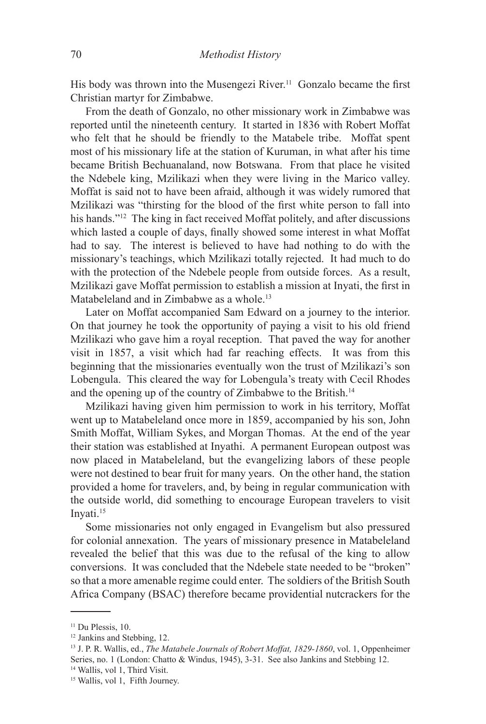His body was thrown into the Musengezi River.<sup>11</sup> Gonzalo became the first Christian martyr for Zimbabwe.

From the death of Gonzalo, no other missionary work in Zimbabwe was reported until the nineteenth century. It started in 1836 with Robert Moffat who felt that he should be friendly to the Matabele tribe. Moffat spent most of his missionary life at the station of Kuruman, in what after his time became British Bechuanaland, now Botswana. From that place he visited the Ndebele king, Mzilikazi when they were living in the Marico valley. Moffat is said not to have been afraid, although it was widely rumored that Mzilikazi was "thirsting for the blood of the first white person to fall into his hands."<sup>12</sup> The king in fact received Moffat politely, and after discussions which lasted a couple of days, finally showed some interest in what Moffat had to say. The interest is believed to have had nothing to do with the missionary's teachings, which Mzilikazi totally rejected. It had much to do with the protection of the Ndebele people from outside forces. As a result, Mzilikazi gave Moffat permission to establish a mission at Inyati, the first in Matabeleland and in Zimbabwe as a whole.<sup>13</sup>

Later on Moffat accompanied Sam Edward on a journey to the interior. On that journey he took the opportunity of paying a visit to his old friend Mzilikazi who gave him a royal reception. That paved the way for another visit in 1857, a visit which had far reaching effects. It was from this beginning that the missionaries eventually won the trust of Mzilikazi's son Lobengula. This cleared the way for Lobengula's treaty with Cecil Rhodes and the opening up of the country of Zimbabwe to the British.14

Mzilikazi having given him permission to work in his territory, Moffat went up to Matabeleland once more in 1859, accompanied by his son, John Smith Moffat, William Sykes, and Morgan Thomas. At the end of the year their station was established at Inyathi. A permanent European outpost was now placed in Matabeleland, but the evangelizing labors of these people were not destined to bear fruit for many years. On the other hand, the station provided a home for travelers, and, by being in regular communication with the outside world, did something to encourage European travelers to visit Invati.<sup>15</sup>

Some missionaries not only engaged in Evangelism but also pressured for colonial annexation. The years of missionary presence in Matabeleland revealed the belief that this was due to the refusal of the king to allow conversions. It was concluded that the Ndebele state needed to be "broken" so that a more amenable regime could enter. The soldiers of the British South Africa Company (BSAC) therefore became providential nutcrackers for the

<sup>14</sup> Wallis, vol 1, Third Visit.

 $11$  Du Plessis, 10.

<sup>&</sup>lt;sup>12</sup> Jankins and Stebbing, 12.

<sup>13</sup> J. P. R. Wallis, ed., *The Matabele Journals of Robert Moffat, 1829-1860*, vol. 1, Oppenheimer Series, no. 1 (London: Chatto & Windus, 1945), 3-31. See also Jankins and Stebbing 12.

<sup>15</sup> Wallis, vol 1, Fifth Journey.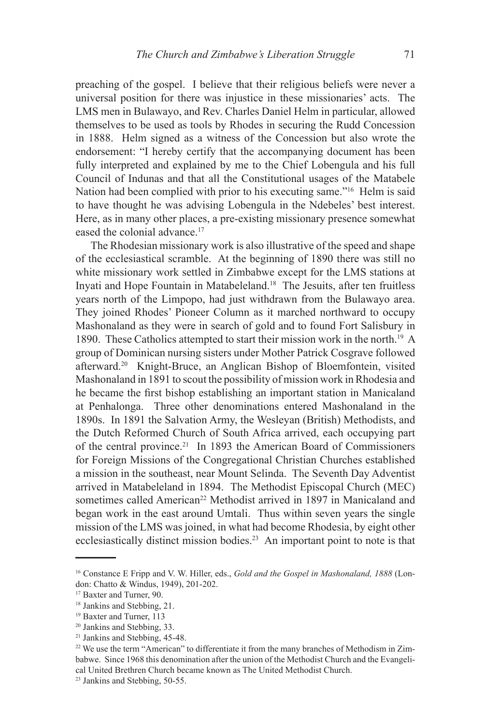preaching of the gospel. I believe that their religious beliefs were never a universal position for there was injustice in these missionaries' acts. The LMS men in Bulawayo, and Rev. Charles Daniel Helm in particular, allowed themselves to be used as tools by Rhodes in securing the Rudd Concession in 1888. Helm signed as a witness of the Concession but also wrote the endorsement: "I hereby certify that the accompanying document has been fully interpreted and explained by me to the Chief Lobengula and his full Council of Indunas and that all the Constitutional usages of the Matabele Nation had been complied with prior to his executing same."16 Helm is said to have thought he was advising Lobengula in the Ndebeles' best interest. Here, as in many other places, a pre-existing missionary presence somewhat eased the colonial advance.<sup>17</sup>

The Rhodesian missionary work is also illustrative of the speed and shape of the ecclesiastical scramble. At the beginning of 1890 there was still no white missionary work settled in Zimbabwe except for the LMS stations at Inyati and Hope Fountain in Matabeleland.18 The Jesuits, after ten fruitless years north of the Limpopo, had just withdrawn from the Bulawayo area. They joined Rhodes' Pioneer Column as it marched northward to occupy Mashonaland as they were in search of gold and to found Fort Salisbury in 1890. These Catholics attempted to start their mission work in the north.19 A group of Dominican nursing sisters under Mother Patrick Cosgrave followed afterward.20 Knight-Bruce, an Anglican Bishop of Bloemfontein, visited Mashonaland in 1891 to scout the possibility of mission work in Rhodesia and he became the first bishop establishing an important station in Manicaland at Penhalonga. Three other denominations entered Mashonaland in the 1890s. In 1891 the Salvation Army, the Wesleyan (British) Methodists, and the Dutch Reformed Church of South Africa arrived, each occupying part of the central province.21 In 1893 the American Board of Commissioners for Foreign Missions of the Congregational Christian Churches established a mission in the southeast, near Mount Selinda. The Seventh Day Adventist arrived in Matabeleland in 1894. The Methodist Episcopal Church (MEC) sometimes called American<sup>22</sup> Methodist arrived in 1897 in Manicaland and began work in the east around Umtali. Thus within seven years the single mission of the LMS was joined, in what had become Rhodesia, by eight other ecclesiastically distinct mission bodies.23 An important point to note is that

<sup>16</sup> Constance E Fripp and V. W. Hiller, eds., *Gold and the Gospel in Mashonaland, 1888* (London: Chatto & Windus, 1949), 201-202.

<sup>17</sup> Baxter and Turner, 90.

<sup>18</sup> Jankins and Stebbing, 21.

<sup>19</sup> Baxter and Turner, 113

<sup>20</sup> Jankins and Stebbing, 33.

<sup>21</sup> Jankins and Stebbing, 45-48.

<sup>&</sup>lt;sup>22</sup> We use the term "American" to differentiate it from the many branches of Methodism in Zimbabwe. Since 1968 this denomination after the union of the Methodist Church and the Evangelical United Brethren Church became known as The United Methodist Church.

<sup>23</sup> Jankins and Stebbing, 50-55.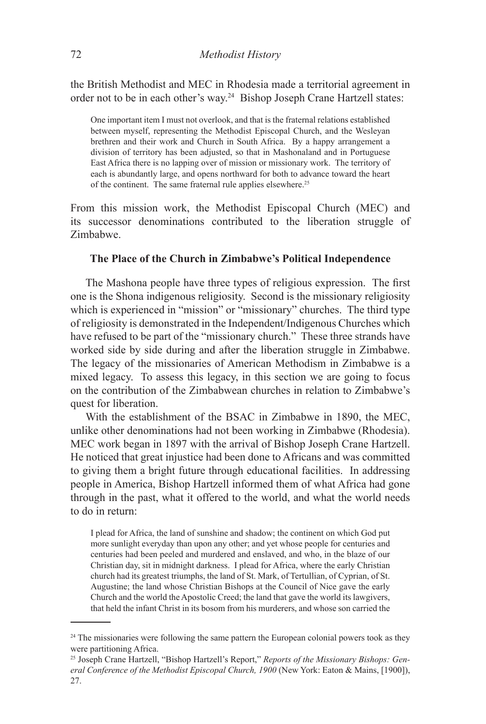the British Methodist and MEC in Rhodesia made a territorial agreement in order not to be in each other's way.24 Bishop Joseph Crane Hartzell states:

One important item I must not overlook, and that is the fraternal relations established between myself, representing the Methodist Episcopal Church, and the Wesleyan brethren and their work and Church in South Africa. By a happy arrangement a division of territory has been adjusted, so that in Mashonaland and in Portuguese East Africa there is no lapping over of mission or missionary work. The territory of each is abundantly large, and opens northward for both to advance toward the heart of the continent. The same fraternal rule applies elsewhere.<sup>25</sup>

From this mission work, the Methodist Episcopal Church (MEC) and its successor denominations contributed to the liberation struggle of Zimbabwe.

## **The Place of the Church in Zimbabwe's Political Independence**

The Mashona people have three types of religious expression. The first one is the Shona indigenous religiosity. Second is the missionary religiosity which is experienced in "mission" or "missionary" churches. The third type of religiosity is demonstrated in the Independent/Indigenous Churches which have refused to be part of the "missionary church." These three strands have worked side by side during and after the liberation struggle in Zimbabwe. The legacy of the missionaries of American Methodism in Zimbabwe is a mixed legacy. To assess this legacy, in this section we are going to focus on the contribution of the Zimbabwean churches in relation to Zimbabwe's quest for liberation.

With the establishment of the BSAC in Zimbabwe in 1890, the MEC, unlike other denominations had not been working in Zimbabwe (Rhodesia). MEC work began in 1897 with the arrival of Bishop Joseph Crane Hartzell. He noticed that great injustice had been done to Africans and was committed to giving them a bright future through educational facilities. In addressing people in America, Bishop Hartzell informed them of what Africa had gone through in the past, what it offered to the world, and what the world needs to do in return:

I plead for Africa, the land of sunshine and shadow; the continent on which God put more sunlight everyday than upon any other; and yet whose people for centuries and centuries had been peeled and murdered and enslaved, and who, in the blaze of our Christian day, sit in midnight darkness. I plead for Africa, where the early Christian church had its greatest triumphs, the land of St. Mark, of Tertullian, of Cyprian, of St. Augustine; the land whose Christian Bishops at the Council of Nice gave the early Church and the world the Apostolic Creed; the land that gave the world its lawgivers, that held the infant Christ in its bosom from his murderers, and whose son carried the

 $24$  The missionaries were following the same pattern the European colonial powers took as they were partitioning Africa.

<sup>25</sup> Joseph Crane Hartzell, "Bishop Hartzell's Report," *Reports of the Missionary Bishops: General Conference of the Methodist Episcopal Church, 1900* (New York: Eaton & Mains, [1900]), 27.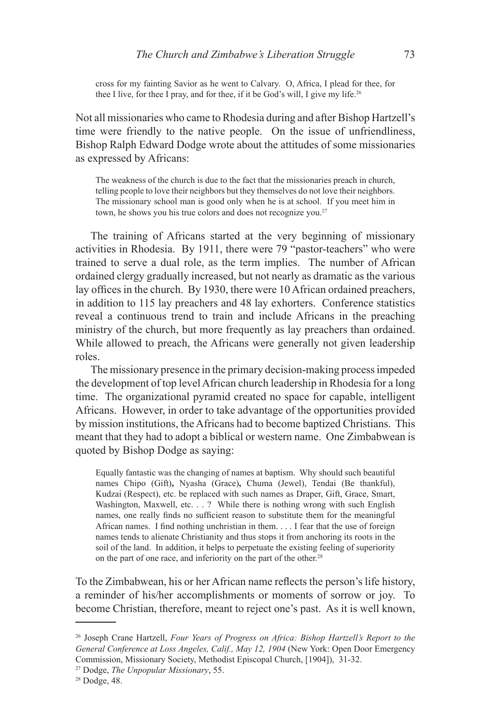cross for my fainting Savior as he went to Calvary. O, Africa, I plead for thee, for thee I live, for thee I pray, and for thee, if it be God's will, I give my life.<sup>26</sup>

Not all missionaries who came to Rhodesia during and after Bishop Hartzell's time were friendly to the native people. On the issue of unfriendliness, Bishop Ralph Edward Dodge wrote about the attitudes of some missionaries as expressed by Africans:

The weakness of the church is due to the fact that the missionaries preach in church, telling people to love their neighbors but they themselves do not love their neighbors. The missionary school man is good only when he is at school. If you meet him in town, he shows you his true colors and does not recognize you.<sup>27</sup>

The training of Africans started at the very beginning of missionary activities in Rhodesia. By 1911, there were 79 "pastor-teachers" who were trained to serve a dual role, as the term implies. The number of African ordained clergy gradually increased, but not nearly as dramatic as the various lay offices in the church. By 1930, there were 10 African ordained preachers, in addition to 115 lay preachers and 48 lay exhorters. Conference statistics reveal a continuous trend to train and include Africans in the preaching ministry of the church, but more frequently as lay preachers than ordained. While allowed to preach, the Africans were generally not given leadership roles.

The missionary presence in the primary decision-making process impeded the development of top level African church leadership in Rhodesia for a long time. The organizational pyramid created no space for capable, intelligent Africans. However, in order to take advantage of the opportunities provided by mission institutions, the Africans had to become baptized Christians. This meant that they had to adopt a biblical or western name. One Zimbabwean is quoted by Bishop Dodge as saying:

Equally fantastic was the changing of names at baptism. Why should such beautiful names Chipo (Gift)**,** Nyasha (Grace)**,** Chuma (Jewel), Tendai (Be thankful), Kudzai (Respect), etc. be replaced with such names as Draper, Gift, Grace, Smart, Washington, Maxwell, etc. . . ? While there is nothing wrong with such English names, one really finds no sufficient reason to substitute them for the meaningful African names. I find nothing unchristian in them. . . . I fear that the use of foreign names tends to alienate Christianity and thus stops it from anchoring its roots in the soil of the land. In addition, it helps to perpetuate the existing feeling of superiority on the part of one race, and inferiority on the part of the other.<sup>28</sup>

To the Zimbabwean, his or her African name reflects the person's life history, a reminder of his/her accomplishments or moments of sorrow or joy. To become Christian, therefore, meant to reject one's past. As it is well known,

<sup>26</sup> Joseph Crane Hartzell, *Four Years of Progress on Africa: Bishop Hartzell's Report to the General Conference at Loss Angeles, Calif., May 12, 1904* (New York: Open Door Emergency Commission, Missionary Society, Methodist Episcopal Church, [1904]), 31-32.

<sup>27</sup> Dodge, *The Unpopular Missionary*, 55.

<sup>28</sup> Dodge, 48.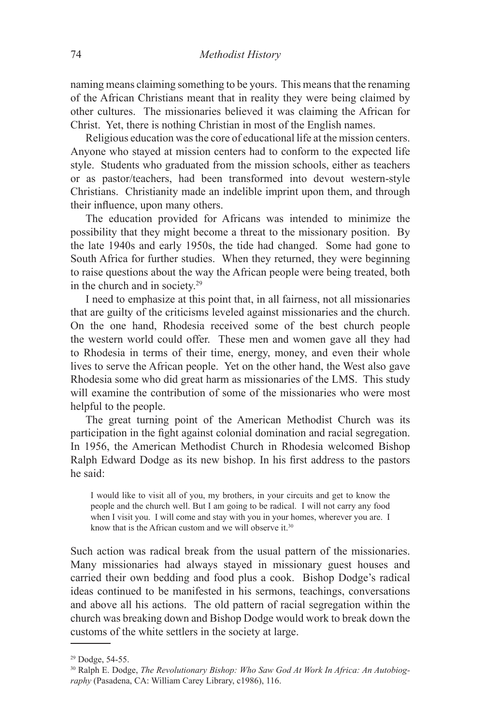naming means claiming something to be yours. This means that the renaming of the African Christians meant that in reality they were being claimed by other cultures. The missionaries believed it was claiming the African for Christ. Yet, there is nothing Christian in most of the English names.

Religious education was the core of educational life at the mission centers. Anyone who stayed at mission centers had to conform to the expected life style. Students who graduated from the mission schools, either as teachers or as pastor/teachers, had been transformed into devout western-style Christians. Christianity made an indelible imprint upon them, and through their influence, upon many others.

The education provided for Africans was intended to minimize the possibility that they might become a threat to the missionary position. By the late 1940s and early 1950s, the tide had changed. Some had gone to South Africa for further studies. When they returned, they were beginning to raise questions about the way the African people were being treated, both in the church and in society.29

I need to emphasize at this point that, in all fairness, not all missionaries that are guilty of the criticisms leveled against missionaries and the church. On the one hand, Rhodesia received some of the best church people the western world could offer. These men and women gave all they had to Rhodesia in terms of their time, energy, money, and even their whole lives to serve the African people. Yet on the other hand, the West also gave Rhodesia some who did great harm as missionaries of the LMS. This study will examine the contribution of some of the missionaries who were most helpful to the people.

The great turning point of the American Methodist Church was its participation in the fight against colonial domination and racial segregation. In 1956, the American Methodist Church in Rhodesia welcomed Bishop Ralph Edward Dodge as its new bishop. In his first address to the pastors he said:

I would like to visit all of you, my brothers, in your circuits and get to know the people and the church well. But I am going to be radical. I will not carry any food when I visit you. I will come and stay with you in your homes, wherever you are. I know that is the African custom and we will observe it.<sup>30</sup>

Such action was radical break from the usual pattern of the missionaries. Many missionaries had always stayed in missionary guest houses and carried their own bedding and food plus a cook. Bishop Dodge's radical ideas continued to be manifested in his sermons, teachings, conversations and above all his actions. The old pattern of racial segregation within the church was breaking down and Bishop Dodge would work to break down the customs of the white settlers in the society at large.

<sup>29</sup> Dodge, 54-55.

<sup>30</sup> Ralph E. Dodge, *The Revolutionary Bishop: Who Saw God At Work In Africa: An Autobiography* (Pasadena, CA: William Carey Library, c1986), 116.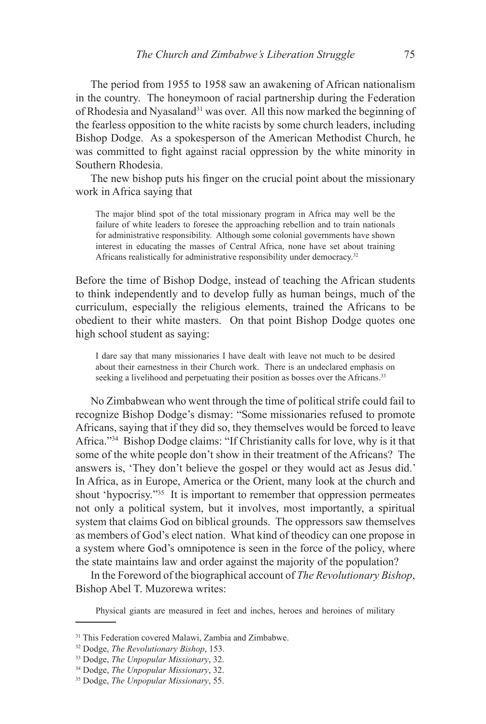The period from 1955 to 1958 saw an awakening of African nationalism in the country. The honeymoon of racial partnership during the Federation of Rhodesia and Nyasaland<sup>31</sup> was over. All this now marked the beginning of the fearless opposition to the white racists by some church leaders, including Bishop Dodge. As a spokesperson of the American Methodist Church, he was committed to fight against racial oppression by the white minority in Southern Rhodesia.

The new bishop puts his finger on the crucial point about the missionary work in Africa saying that

The major blind spot of the total missionary program in Africa may well be the failure of white leaders to foresee the approaching rebellion and to train nationals for administrative responsibility. Although some colonial governments have shown interest in educating the masses of Central Africa, none have set about training Africans realistically for administrative responsibility under democracy.<sup>32</sup>

Before the time of Bishop Dodge, instead of teaching the African students to think independently and to develop fully as human beings, much of the curriculum, especially the religious elements, trained the Africans to be obedient to their white masters. On that point Bishop Dodge quotes one high school student as saying:

I dare say that many missionaries I have dealt with leave not much to be desired about their earnestness in their Church work. There is an undeclared emphasis on seeking a livelihood and perpetuating their position as bosses over the Africans.<sup>33</sup>

No Zimbabwean who went through the time of political strife could fail to recognize Bishop Dodge's dismay: "Some missionaries refused to promote Africans, saying that if they did so, they themselves would be forced to leave Africa."34 Bishop Dodge claims: "If Christianity calls for love, why is it that some of the white people don't show in their treatment of the Africans? The answers is, 'They don't believe the gospel or they would act as Jesus did.' In Africa, as in Europe, America or the Orient, many look at the church and shout 'hypocrisy."35 It is important to remember that oppression permeates not only a political system, but it involves, most importantly, a spiritual system that claims God on biblical grounds. The oppressors saw themselves as members of God's elect nation. What kind of theodicy can one propose in a system where God's omnipotence is seen in the force of the policy, where the state maintains law and order against the majority of the population?

In the Foreword of the biographical account of *The Revolutionary Bishop*, Bishop Abel T. Muzorewa writes:

Physical giants are measured in feet and inches, heroes and heroines of military

<sup>&</sup>lt;sup>31</sup> This Federation covered Malawi, Zambia and Zimbabwe.<br><sup>32</sup> Dodge, *The Revolutionary Bishop*, 153.

<sup>&</sup>lt;sup>33</sup> Dodge, *The Unpopular Missionary*, 32.

<sup>34</sup> Dodge, *The Unpopular Missionary*, 32.

<sup>35</sup> Dodge, *The Unpopular Missionary*, 55.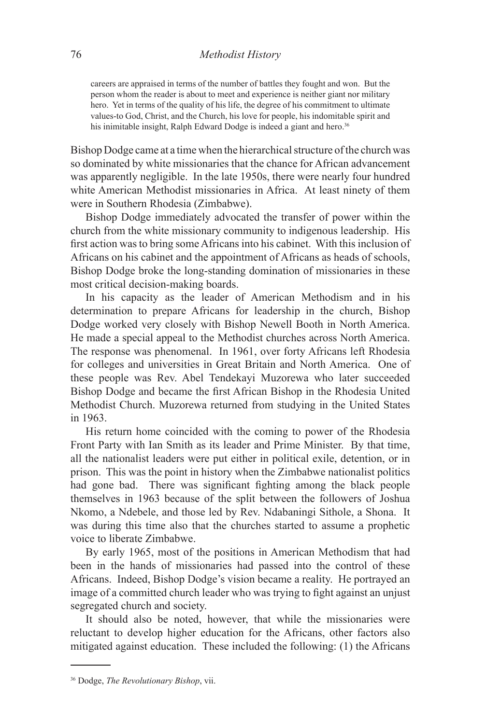careers are appraised in terms of the number of battles they fought and won. But the person whom the reader is about to meet and experience is neither giant nor military hero. Yet in terms of the quality of his life, the degree of his commitment to ultimate values-to God, Christ, and the Church, his love for people, his indomitable spirit and his inimitable insight, Ralph Edward Dodge is indeed a giant and hero.<sup>36</sup>

Bishop Dodge came at a time when the hierarchical structure of the church was so dominated by white missionaries that the chance for African advancement was apparently negligible. In the late 1950s, there were nearly four hundred white American Methodist missionaries in Africa. At least ninety of them were in Southern Rhodesia (Zimbabwe).

Bishop Dodge immediately advocated the transfer of power within the church from the white missionary community to indigenous leadership. His first action was to bring some Africans into his cabinet. With this inclusion of Africans on his cabinet and the appointment of Africans as heads of schools, Bishop Dodge broke the long-standing domination of missionaries in these most critical decision-making boards.

In his capacity as the leader of American Methodism and in his determination to prepare Africans for leadership in the church, Bishop Dodge worked very closely with Bishop Newell Booth in North America. He made a special appeal to the Methodist churches across North America. The response was phenomenal. In 1961, over forty Africans left Rhodesia for colleges and universities in Great Britain and North America. One of these people was Rev. Abel Tendekayi Muzorewa who later succeeded Bishop Dodge and became the first African Bishop in the Rhodesia United Methodist Church. Muzorewa returned from studying in the United States in 1963.

His return home coincided with the coming to power of the Rhodesia Front Party with Ian Smith as its leader and Prime Minister. By that time, all the nationalist leaders were put either in political exile, detention, or in prison. This was the point in history when the Zimbabwe nationalist politics had gone bad. There was significant fighting among the black people themselves in 1963 because of the split between the followers of Joshua Nkomo, a Ndebele, and those led by Rev. Ndabaningi Sithole, a Shona. It was during this time also that the churches started to assume a prophetic voice to liberate Zimbabwe.

By early 1965, most of the positions in American Methodism that had been in the hands of missionaries had passed into the control of these Africans. Indeed, Bishop Dodge's vision became a reality. He portrayed an image of a committed church leader who was trying to fight against an unjust segregated church and society.

It should also be noted, however, that while the missionaries were reluctant to develop higher education for the Africans, other factors also mitigated against education. These included the following: (1) the Africans

<sup>36</sup> Dodge, *The Revolutionary Bishop*, vii.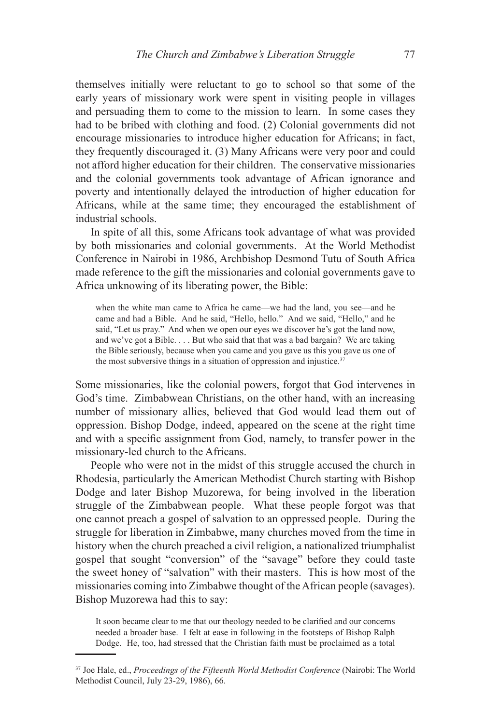themselves initially were reluctant to go to school so that some of the early years of missionary work were spent in visiting people in villages and persuading them to come to the mission to learn. In some cases they had to be bribed with clothing and food. (2) Colonial governments did not encourage missionaries to introduce higher education for Africans; in fact, they frequently discouraged it. (3) Many Africans were very poor and could not afford higher education for their children. The conservative missionaries and the colonial governments took advantage of African ignorance and poverty and intentionally delayed the introduction of higher education for Africans, while at the same time; they encouraged the establishment of industrial schools.

In spite of all this, some Africans took advantage of what was provided by both missionaries and colonial governments. At the World Methodist Conference in Nairobi in 1986, Archbishop Desmond Tutu of South Africa made reference to the gift the missionaries and colonial governments gave to Africa unknowing of its liberating power, the Bible:

when the white man came to Africa he came—we had the land, you see—and he came and had a Bible. And he said, "Hello, hello." And we said, "Hello," and he said, "Let us pray." And when we open our eyes we discover he's got the land now, and we've got a Bible. . . . But who said that that was a bad bargain? We are taking the Bible seriously, because when you came and you gave us this you gave us one of the most subversive things in a situation of oppression and injustice.<sup>37</sup>

Some missionaries, like the colonial powers, forgot that God intervenes in God's time. Zimbabwean Christians, on the other hand, with an increasing number of missionary allies, believed that God would lead them out of oppression. Bishop Dodge, indeed, appeared on the scene at the right time and with a specific assignment from God, namely, to transfer power in the missionary-led church to the Africans.

People who were not in the midst of this struggle accused the church in Rhodesia, particularly the American Methodist Church starting with Bishop Dodge and later Bishop Muzorewa, for being involved in the liberation struggle of the Zimbabwean people. What these people forgot was that one cannot preach a gospel of salvation to an oppressed people. During the struggle for liberation in Zimbabwe, many churches moved from the time in history when the church preached a civil religion, a nationalized triumphalist gospel that sought "conversion" of the "savage" before they could taste the sweet honey of "salvation" with their masters. This is how most of the missionaries coming into Zimbabwe thought of the African people (savages). Bishop Muzorewa had this to say:

It soon became clear to me that our theology needed to be clarified and our concerns needed a broader base. I felt at ease in following in the footsteps of Bishop Ralph Dodge. He, too, had stressed that the Christian faith must be proclaimed as a total

<sup>37</sup> Joe Hale, ed., *Proceedings of the Fifteenth World Methodist Conference* (Nairobi: The World Methodist Council, July 23-29, 1986), 66.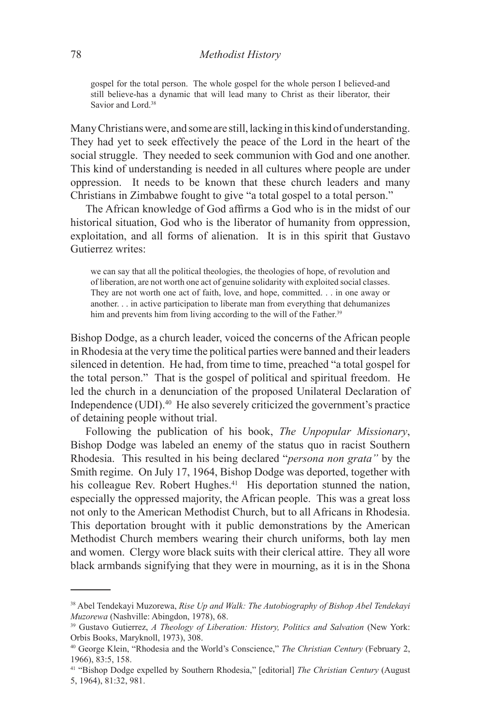gospel for the total person. The whole gospel for the whole person I believed-and still believe-has a dynamic that will lead many to Christ as their liberator, their Savior and Lord<sup>38</sup>

Many Christians were, and some are still, lacking in this kind of understanding. They had yet to seek effectively the peace of the Lord in the heart of the social struggle. They needed to seek communion with God and one another. This kind of understanding is needed in all cultures where people are under oppression. It needs to be known that these church leaders and many Christians in Zimbabwe fought to give "a total gospel to a total person."

The African knowledge of God affirms a God who is in the midst of our historical situation, God who is the liberator of humanity from oppression, exploitation, and all forms of alienation. It is in this spirit that Gustavo Gutierrez writes:

we can say that all the political theologies, the theologies of hope, of revolution and of liberation, are not worth one act of genuine solidarity with exploited social classes. They are not worth one act of faith, love, and hope, committed. . . in one away or another. . . in active participation to liberate man from everything that dehumanizes him and prevents him from living according to the will of the Father.<sup>39</sup>

Bishop Dodge, as a church leader, voiced the concerns of the African people in Rhodesia at the very time the political parties were banned and their leaders silenced in detention. He had, from time to time, preached "a total gospel for the total person." That is the gospel of political and spiritual freedom. He led the church in a denunciation of the proposed Unilateral Declaration of Independence (UDI).40 He also severely criticized the government's practice of detaining people without trial.

Following the publication of his book, *The Unpopular Missionary*, Bishop Dodge was labeled an enemy of the status quo in racist Southern Rhodesia. This resulted in his being declared "*persona non grata"* by the Smith regime. On July 17, 1964, Bishop Dodge was deported, together with his colleague Rev. Robert Hughes.<sup>41</sup> His deportation stunned the nation, especially the oppressed majority, the African people. This was a great loss not only to the American Methodist Church, but to all Africans in Rhodesia. This deportation brought with it public demonstrations by the American Methodist Church members wearing their church uniforms, both lay men and women. Clergy wore black suits with their clerical attire. They all wore black armbands signifying that they were in mourning, as it is in the Shona

<sup>38</sup> Abel Tendekayi Muzorewa, *Rise Up and Walk: The Autobiography of Bishop Abel Tendekayi Muzorewa* (Nashville: Abingdon, 1978), 68.

<sup>39</sup> Gustavo Gutierrez, *A Theology of Liberation: History, Politics and Salvation* (New York: Orbis Books, Maryknoll, 1973), 308.

<sup>40</sup> George Klein, "Rhodesia and the World's Conscience," *The Christian Century* (February 2, 1966), 83:5, 158.

<sup>41 &</sup>quot;Bishop Dodge expelled by Southern Rhodesia," [editorial] *The Christian Century* (August 5, 1964), 81:32, 981.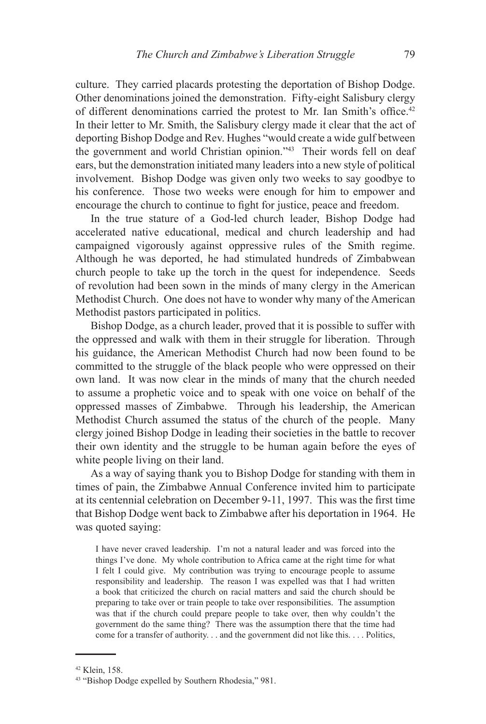culture. They carried placards protesting the deportation of Bishop Dodge. Other denominations joined the demonstration. Fifty-eight Salisbury clergy of different denominations carried the protest to Mr. Ian Smith's office.<sup>42</sup> In their letter to Mr. Smith, the Salisbury clergy made it clear that the act of deporting Bishop Dodge and Rev. Hughes "would create a wide gulf between the government and world Christian opinion."43 Their words fell on deaf ears, but the demonstration initiated many leaders into a new style of political involvement. Bishop Dodge was given only two weeks to say goodbye to his conference. Those two weeks were enough for him to empower and encourage the church to continue to fight for justice, peace and freedom.

In the true stature of a God-led church leader, Bishop Dodge had accelerated native educational, medical and church leadership and had campaigned vigorously against oppressive rules of the Smith regime. Although he was deported, he had stimulated hundreds of Zimbabwean church people to take up the torch in the quest for independence. Seeds of revolution had been sown in the minds of many clergy in the American Methodist Church. One does not have to wonder why many of the American Methodist pastors participated in politics.

Bishop Dodge, as a church leader, proved that it is possible to suffer with the oppressed and walk with them in their struggle for liberation. Through his guidance, the American Methodist Church had now been found to be committed to the struggle of the black people who were oppressed on their own land. It was now clear in the minds of many that the church needed to assume a prophetic voice and to speak with one voice on behalf of the oppressed masses of Zimbabwe. Through his leadership, the American Methodist Church assumed the status of the church of the people. Many clergy joined Bishop Dodge in leading their societies in the battle to recover their own identity and the struggle to be human again before the eyes of white people living on their land.

As a way of saying thank you to Bishop Dodge for standing with them in times of pain, the Zimbabwe Annual Conference invited him to participate at its centennial celebration on December 9-11, 1997. This was the first time that Bishop Dodge went back to Zimbabwe after his deportation in 1964. He was quoted saying:

I have never craved leadership. I'm not a natural leader and was forced into the things I've done. My whole contribution to Africa came at the right time for what I felt I could give. My contribution was trying to encourage people to assume responsibility and leadership. The reason I was expelled was that I had written a book that criticized the church on racial matters and said the church should be preparing to take over or train people to take over responsibilities. The assumption was that if the church could prepare people to take over, then why couldn't the government do the same thing? There was the assumption there that the time had come for a transfer of authority. . . and the government did not like this. . . . Politics,

<sup>42</sup> Klein, 158.

<sup>43 &</sup>quot;Bishop Dodge expelled by Southern Rhodesia," 981.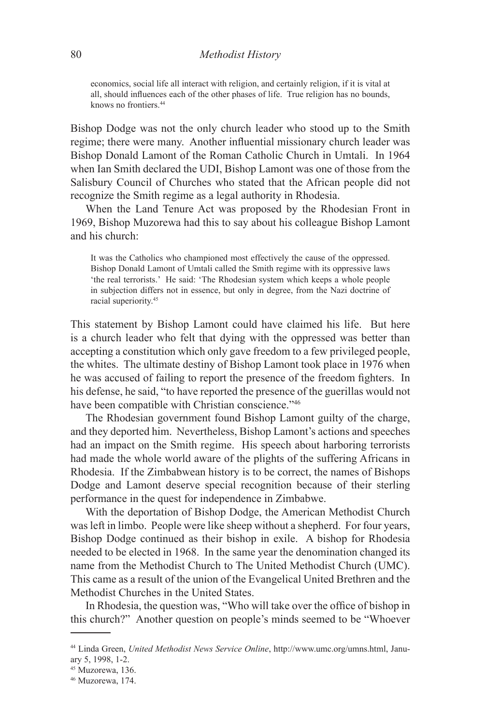economics, social life all interact with religion, and certainly religion, if it is vital at all, should influences each of the other phases of life. True religion has no bounds, knows no frontiers.44

Bishop Dodge was not the only church leader who stood up to the Smith regime; there were many. Another influential missionary church leader was Bishop Donald Lamont of the Roman Catholic Church in Umtali. In 1964 when Ian Smith declared the UDI, Bishop Lamont was one of those from the Salisbury Council of Churches who stated that the African people did not recognize the Smith regime as a legal authority in Rhodesia.

When the Land Tenure Act was proposed by the Rhodesian Front in 1969, Bishop Muzorewa had this to say about his colleague Bishop Lamont and his church:

It was the Catholics who championed most effectively the cause of the oppressed. Bishop Donald Lamont of Umtali called the Smith regime with its oppressive laws 'the real terrorists.' He said: 'The Rhodesian system which keeps a whole people in subjection differs not in essence, but only in degree, from the Nazi doctrine of racial superiority.45

This statement by Bishop Lamont could have claimed his life. But here is a church leader who felt that dying with the oppressed was better than accepting a constitution which only gave freedom to a few privileged people, the whites. The ultimate destiny of Bishop Lamont took place in 1976 when he was accused of failing to report the presence of the freedom fighters. In his defense, he said, "to have reported the presence of the guerillas would not have been compatible with Christian conscience."<sup>46</sup>

The Rhodesian government found Bishop Lamont guilty of the charge, and they deported him. Nevertheless, Bishop Lamont's actions and speeches had an impact on the Smith regime. His speech about harboring terrorists had made the whole world aware of the plights of the suffering Africans in Rhodesia. If the Zimbabwean history is to be correct, the names of Bishops Dodge and Lamont deserve special recognition because of their sterling performance in the quest for independence in Zimbabwe.

With the deportation of Bishop Dodge, the American Methodist Church was left in limbo. People were like sheep without a shepherd. For four years, Bishop Dodge continued as their bishop in exile. A bishop for Rhodesia needed to be elected in 1968. In the same year the denomination changed its name from the Methodist Church to The United Methodist Church (UMC). This came as a result of the union of the Evangelical United Brethren and the Methodist Churches in the United States.

In Rhodesia, the question was, "Who will take over the office of bishop in this church?" Another question on people's minds seemed to be "Whoever

<sup>44</sup> Linda Green, *United Methodist News Service Online*, http://www.umc.org/umns.html, January 5, 1998, 1-2.

<sup>45</sup> Muzorewa, 136.

<sup>46</sup> Muzorewa, 174.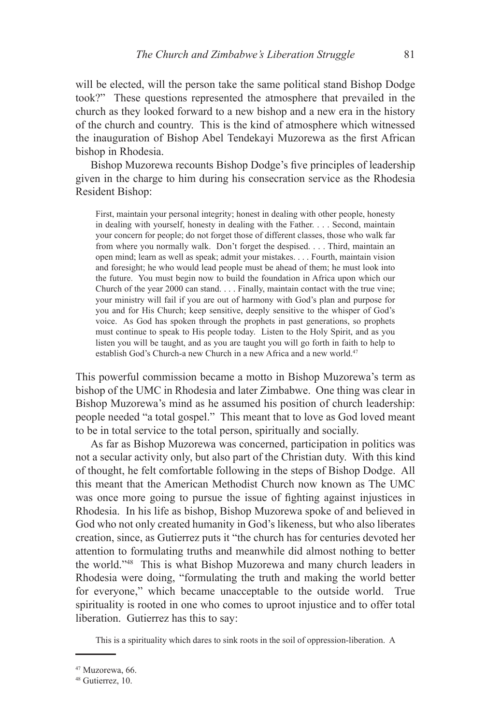will be elected, will the person take the same political stand Bishop Dodge took?" These questions represented the atmosphere that prevailed in the church as they looked forward to a new bishop and a new era in the history of the church and country. This is the kind of atmosphere which witnessed the inauguration of Bishop Abel Tendekayi Muzorewa as the first African bishop in Rhodesia.

Bishop Muzorewa recounts Bishop Dodge's five principles of leadership given in the charge to him during his consecration service as the Rhodesia Resident Bishop:

First, maintain your personal integrity; honest in dealing with other people, honesty in dealing with yourself, honesty in dealing with the Father. . . . Second, maintain your concern for people; do not forget those of different classes, those who walk far from where you normally walk. Don't forget the despised. . . . Third, maintain an open mind; learn as well as speak; admit your mistakes. . . . Fourth, maintain vision and foresight; he who would lead people must be ahead of them; he must look into the future. You must begin now to build the foundation in Africa upon which our Church of the year 2000 can stand. . . . Finally, maintain contact with the true vine; your ministry will fail if you are out of harmony with God's plan and purpose for you and for His Church; keep sensitive, deeply sensitive to the whisper of God's voice. As God has spoken through the prophets in past generations, so prophets must continue to speak to His people today. Listen to the Holy Spirit, and as you listen you will be taught, and as you are taught you will go forth in faith to help to establish God's Church-a new Church in a new Africa and a new world.<sup>47</sup>

This powerful commission became a motto in Bishop Muzorewa's term as bishop of the UMC in Rhodesia and later Zimbabwe. One thing was clear in Bishop Muzorewa's mind as he assumed his position of church leadership: people needed "a total gospel." This meant that to love as God loved meant to be in total service to the total person, spiritually and socially.

As far as Bishop Muzorewa was concerned, participation in politics was not a secular activity only, but also part of the Christian duty. With this kind of thought, he felt comfortable following in the steps of Bishop Dodge. All this meant that the American Methodist Church now known as The UMC was once more going to pursue the issue of fighting against injustices in Rhodesia. In his life as bishop, Bishop Muzorewa spoke of and believed in God who not only created humanity in God's likeness, but who also liberates creation, since, as Gutierrez puts it "the church has for centuries devoted her attention to formulating truths and meanwhile did almost nothing to better the world."48 This is what Bishop Muzorewa and many church leaders in Rhodesia were doing, "formulating the truth and making the world better for everyone," which became unacceptable to the outside world. True spirituality is rooted in one who comes to uproot injustice and to offer total liberation. Gutierrez has this to say:

This is a spirituality which dares to sink roots in the soil of oppression-liberation. A

<sup>47</sup> Muzorewa, 66.

<sup>48</sup> Gutierrez, 10.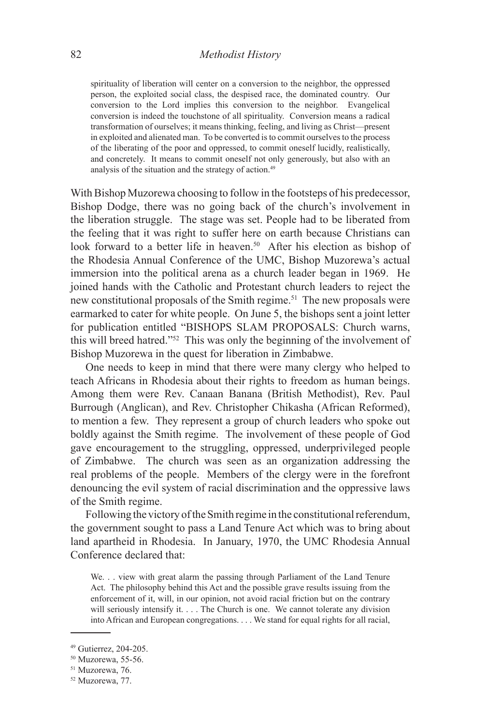spirituality of liberation will center on a conversion to the neighbor, the oppressed person, the exploited social class, the despised race, the dominated country. Our conversion to the Lord implies this conversion to the neighbor. Evangelical conversion is indeed the touchstone of all spirituality. Conversion means a radical transformation of ourselves; it means thinking, feeling, and living as Christ—present in exploited and alienated man. To be converted is to commit ourselves to the process of the liberating of the poor and oppressed, to commit oneself lucidly, realistically, and concretely. It means to commit oneself not only generously, but also with an analysis of the situation and the strategy of action.<sup>49</sup>

With Bishop Muzorewa choosing to follow in the footsteps of his predecessor, Bishop Dodge, there was no going back of the church's involvement in the liberation struggle. The stage was set. People had to be liberated from the feeling that it was right to suffer here on earth because Christians can look forward to a better life in heaven.<sup>50</sup> After his election as bishop of the Rhodesia Annual Conference of the UMC, Bishop Muzorewa's actual immersion into the political arena as a church leader began in 1969. He joined hands with the Catholic and Protestant church leaders to reject the new constitutional proposals of the Smith regime.<sup>51</sup> The new proposals were earmarked to cater for white people. On June 5, the bishops sent a joint letter for publication entitled "BISHOPS SLAM PROPOSALS: Church warns, this will breed hatred."52 This was only the beginning of the involvement of Bishop Muzorewa in the quest for liberation in Zimbabwe.

One needs to keep in mind that there were many clergy who helped to teach Africans in Rhodesia about their rights to freedom as human beings. Among them were Rev. Canaan Banana (British Methodist), Rev. Paul Burrough (Anglican), and Rev. Christopher Chikasha (African Reformed), to mention a few. They represent a group of church leaders who spoke out boldly against the Smith regime. The involvement of these people of God gave encouragement to the struggling, oppressed, underprivileged people of Zimbabwe. The church was seen as an organization addressing the real problems of the people. Members of the clergy were in the forefront denouncing the evil system of racial discrimination and the oppressive laws of the Smith regime.

Following the victory of the Smith regime in the constitutional referendum, the government sought to pass a Land Tenure Act which was to bring about land apartheid in Rhodesia. In January, 1970, the UMC Rhodesia Annual Conference declared that:

We. . . view with great alarm the passing through Parliament of the Land Tenure Act. The philosophy behind this Act and the possible grave results issuing from the enforcement of it, will, in our opinion, not avoid racial friction but on the contrary will seriously intensify it. . . . The Church is one. We cannot tolerate any division into African and European congregations. . . . We stand for equal rights for all racial,

<sup>49</sup> Gutierrez, 204-205.

<sup>50</sup> Muzorewa, 55-56.

<sup>51</sup> Muzorewa, 76.

<sup>52</sup> Muzorewa, 77.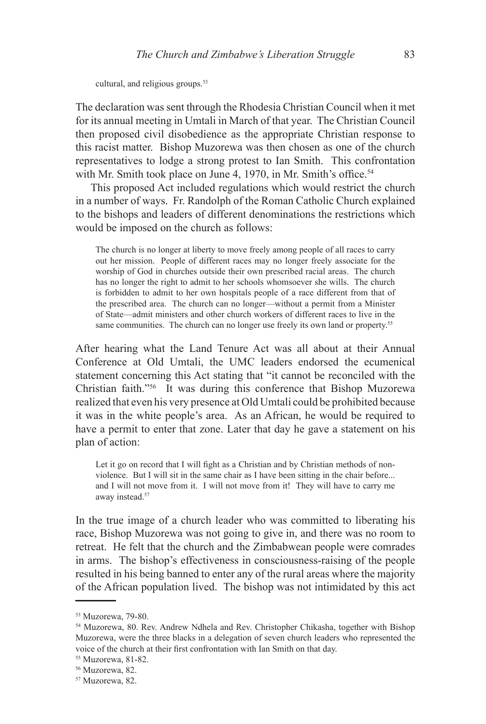cultural, and religious groups.<sup>53</sup>

The declaration was sent through the Rhodesia Christian Council when it met for its annual meeting in Umtali in March of that year. The Christian Council then proposed civil disobedience as the appropriate Christian response to this racist matter. Bishop Muzorewa was then chosen as one of the church representatives to lodge a strong protest to Ian Smith. This confrontation with Mr. Smith took place on June 4, 1970, in Mr. Smith's office.<sup>54</sup>

This proposed Act included regulations which would restrict the church in a number of ways. Fr. Randolph of the Roman Catholic Church explained to the bishops and leaders of different denominations the restrictions which would be imposed on the church as follows:

The church is no longer at liberty to move freely among people of all races to carry out her mission. People of different races may no longer freely associate for the worship of God in churches outside their own prescribed racial areas. The church has no longer the right to admit to her schools whomsoever she wills. The church is forbidden to admit to her own hospitals people of a race different from that of the prescribed area. The church can no longer—without a permit from a Minister of State—admit ministers and other church workers of different races to live in the same communities. The church can no longer use freely its own land or property.<sup>55</sup>

After hearing what the Land Tenure Act was all about at their Annual Conference at Old Umtali, the UMC leaders endorsed the ecumenical statement concerning this Act stating that "it cannot be reconciled with the Christian faith."56 It was during this conference that Bishop Muzorewa realized that even his very presence at Old Umtali could be prohibited because it was in the white people's area. As an African, he would be required to have a permit to enter that zone. Later that day he gave a statement on his plan of action:

Let it go on record that I will fight as a Christian and by Christian methods of nonviolence. But I will sit in the same chair as I have been sitting in the chair before... and I will not move from it. I will not move from it! They will have to carry me away instead.<sup>57</sup>

In the true image of a church leader who was committed to liberating his race, Bishop Muzorewa was not going to give in, and there was no room to retreat. He felt that the church and the Zimbabwean people were comrades in arms. The bishop's effectiveness in consciousness-raising of the people resulted in his being banned to enter any of the rural areas where the majority of the African population lived. The bishop was not intimidated by this act

<sup>53</sup> Muzorewa, 79-80.

<sup>54</sup> Muzorewa, 80. Rev. Andrew Ndhela and Rev. Christopher Chikasha, together with Bishop Muzorewa, were the three blacks in a delegation of seven church leaders who represented the voice of the church at their first confrontation with Ian Smith on that day.

<sup>55</sup> Muzorewa, 81-82.

<sup>56</sup> Muzorewa, 82.

<sup>57</sup> Muzorewa, 82.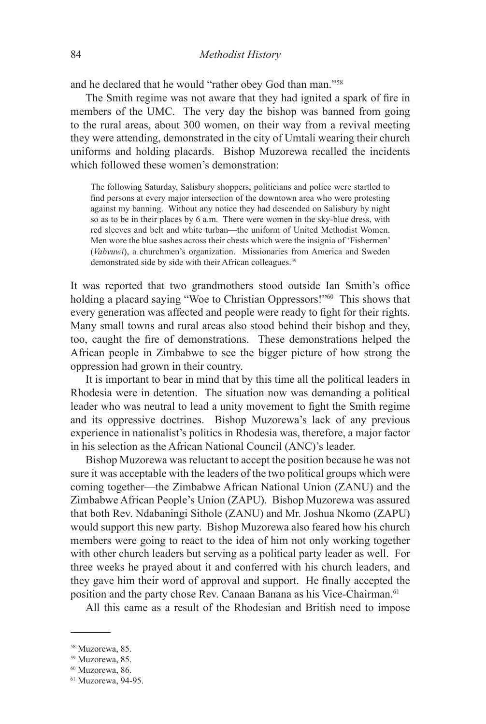and he declared that he would "rather obey God than man."58

The Smith regime was not aware that they had ignited a spark of fire in members of the UMC. The very day the bishop was banned from going to the rural areas, about 300 women, on their way from a revival meeting they were attending, demonstrated in the city of Umtali wearing their church uniforms and holding placards. Bishop Muzorewa recalled the incidents which followed these women's demonstration:

The following Saturday, Salisbury shoppers, politicians and police were startled to find persons at every major intersection of the downtown area who were protesting against my banning. Without any notice they had descended on Salisbury by night so as to be in their places by 6 a.m. There were women in the sky-blue dress, with red sleeves and belt and white turban—the uniform of United Methodist Women. Men wore the blue sashes across their chests which were the insignia of 'Fishermen' (*Vabvuwi*), a churchmen's organization. Missionaries from America and Sweden demonstrated side by side with their African colleagues.<sup>59</sup>

It was reported that two grandmothers stood outside Ian Smith's office holding a placard saying "Woe to Christian Oppressors!"<sup>60</sup> This shows that every generation was affected and people were ready to fight for their rights. Many small towns and rural areas also stood behind their bishop and they, too, caught the fire of demonstrations. These demonstrations helped the African people in Zimbabwe to see the bigger picture of how strong the oppression had grown in their country.

It is important to bear in mind that by this time all the political leaders in Rhodesia were in detention. The situation now was demanding a political leader who was neutral to lead a unity movement to fight the Smith regime and its oppressive doctrines. Bishop Muzorewa's lack of any previous experience in nationalist's politics in Rhodesia was, therefore, a major factor in his selection as the African National Council (ANC)'s leader.

Bishop Muzorewa was reluctant to accept the position because he was not sure it was acceptable with the leaders of the two political groups which were coming together—the Zimbabwe African National Union (ZANU) and the Zimbabwe African People's Union (ZAPU). Bishop Muzorewa was assured that both Rev. Ndabaningi Sithole (ZANU) and Mr. Joshua Nkomo (ZAPU) would support this new party. Bishop Muzorewa also feared how his church members were going to react to the idea of him not only working together with other church leaders but serving as a political party leader as well. For three weeks he prayed about it and conferred with his church leaders, and they gave him their word of approval and support. He finally accepted the position and the party chose Rev. Canaan Banana as his Vice-Chairman.<sup>61</sup>

All this came as a result of the Rhodesian and British need to impose

<sup>58</sup> Muzorewa, 85.

<sup>59</sup> Muzorewa, 85.

<sup>60</sup> Muzorewa, 86.

<sup>61</sup> Muzorewa, 94-95.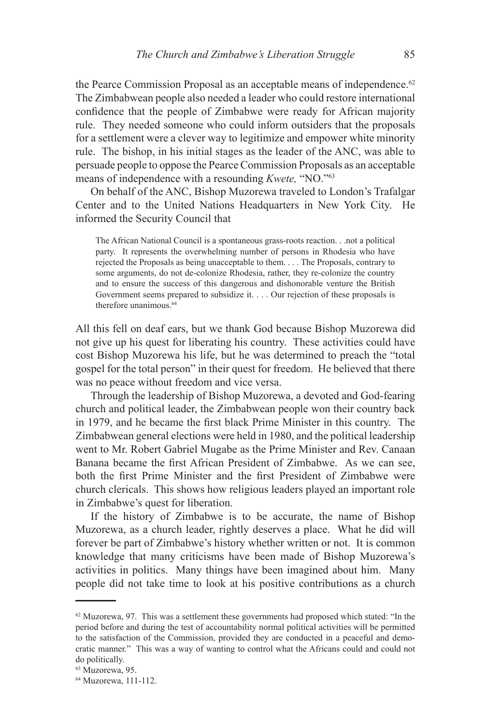the Pearce Commission Proposal as an acceptable means of independence.<sup>62</sup> The Zimbabwean people also needed a leader who could restore international confidence that the people of Zimbabwe were ready for African majority rule. They needed someone who could inform outsiders that the proposals for a settlement were a clever way to legitimize and empower white minority rule. The bishop, in his initial stages as the leader of the ANC, was able to persuade people to oppose the Pearce Commission Proposals as an acceptable means of independence with a resounding *Kwete,* "NO."63

On behalf of the ANC, Bishop Muzorewa traveled to London's Trafalgar Center and to the United Nations Headquarters in New York City. He informed the Security Council that

The African National Council is a spontaneous grass-roots reaction. . .not a political party. It represents the overwhelming number of persons in Rhodesia who have rejected the Proposals as being unacceptable to them. . . . The Proposals, contrary to some arguments, do not de-colonize Rhodesia, rather, they re-colonize the country and to ensure the success of this dangerous and dishonorable venture the British Government seems prepared to subsidize it. . . . Our rejection of these proposals is therefore unanimous.<sup>64</sup>

All this fell on deaf ears, but we thank God because Bishop Muzorewa did not give up his quest for liberating his country. These activities could have cost Bishop Muzorewa his life, but he was determined to preach the "total gospel for the total person" in their quest for freedom. He believed that there was no peace without freedom and vice versa.

Through the leadership of Bishop Muzorewa, a devoted and God-fearing church and political leader, the Zimbabwean people won their country back in 1979, and he became the first black Prime Minister in this country. The Zimbabwean general elections were held in 1980, and the political leadership went to Mr. Robert Gabriel Mugabe as the Prime Minister and Rev. Canaan Banana became the first African President of Zimbabwe. As we can see, both the first Prime Minister and the first President of Zimbabwe were church clericals. This shows how religious leaders played an important role in Zimbabwe's quest for liberation.

If the history of Zimbabwe is to be accurate, the name of Bishop Muzorewa, as a church leader, rightly deserves a place. What he did will forever be part of Zimbabwe's history whether written or not. It is common knowledge that many criticisms have been made of Bishop Muzorewa's activities in politics. Many things have been imagined about him. Many people did not take time to look at his positive contributions as a church

 $62$  Muzorewa, 97. This was a settlement these governments had proposed which stated: "In the period before and during the test of accountability normal political activities will be permitted to the satisfaction of the Commission, provided they are conducted in a peaceful and democratic manner." This was a way of wanting to control what the Africans could and could not do politically.

<sup>63</sup> Muzorewa, 95.

<sup>64</sup> Muzorewa, 111-112.